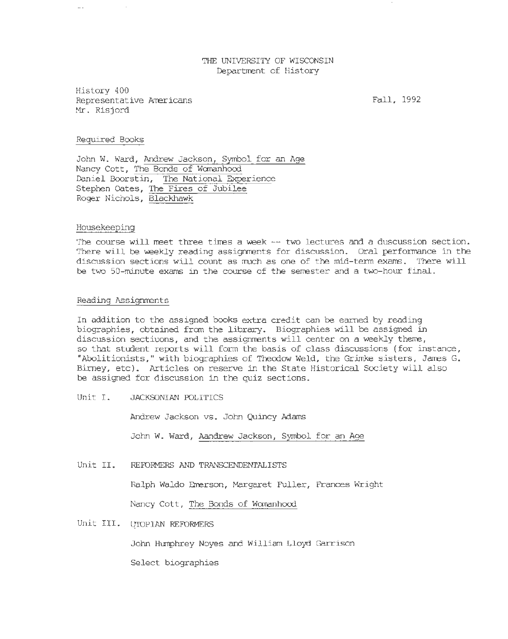## THE UNIVERSITY OF WISCONSIN Department of History

History 400 Representative Americans Mr. Risjord

Fall, 1992

### Required Books

John W. Ward, Andrew Jackson, Symbol for an Age Nancy Cott, The Bonds of Womanhood Daniel Boorstin, The National Experience Stephen Gates, The Fires of Jubilee Roger Nichols, Blackhawk

### Housekeeping

The course will meet three times a week -- two lectures and a duscussion section. There will be weekly reading assignments for discussion. Oral performance in the discussion sections will count as much as one of the mid-term exams. There will be two 50-minute exams in the course of the semester and a two-hour final.

#### Reading Assignments

In addition to the assigned books extra credit can be earned by reading biographies, obtained fran the library. Biographies will be assigned in discussion sectiuons, and the assignments will center on a weekly theme, so that student reports will form the basis of class discussions (for instance, "Abolitionists," with biographies of Theodow Weld, the Grimke sisters, James G. Birney, etc). Articles on reserve in the State Historical Society will also be assigned for discussion in the quiz sections.

Unit I. JACKSONIAN POLITICS

Andrew Jackson vs. John Quincy Adams

John W. Ward, Aandrew Jackson, Symbol for an Age

Unit II. REFDRMERS AND TRANSCENDENTALISTS

Ralph Waldo Emerson, Margaret Fuller, Frances Wright

Nancy Cott, The Bonds of Womanhood

# Unit III. UTOPIAN REFORMERS

John Humphrey Noyes and William Lloyd Garrison

Select biographies